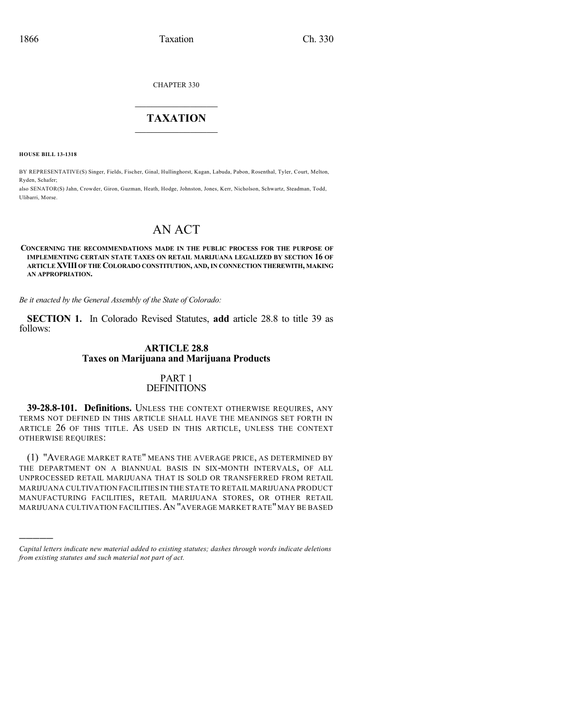CHAPTER 330

# $\mathcal{L}_\text{max}$  . The set of the set of the set of the set of the set of the set of the set of the set of the set of the set of the set of the set of the set of the set of the set of the set of the set of the set of the set **TAXATION**  $\_$

**HOUSE BILL 13-1318**

)))))

BY REPRESENTATIVE(S) Singer, Fields, Fischer, Ginal, Hullinghorst, Kagan, Labuda, Pabon, Rosenthal, Tyler, Court, Melton, Ryden, Schafer;

also SENATOR(S) Jahn, Crowder, Giron, Guzman, Heath, Hodge, Johnston, Jones, Kerr, Nicholson, Schwartz, Steadman, Todd, Ulibarri, Morse.

# AN ACT

#### **CONCERNING THE RECOMMENDATIONS MADE IN THE PUBLIC PROCESS FOR THE PURPOSE OF IMPLEMENTING CERTAIN STATE TAXES ON RETAIL MARIJUANA LEGALIZED BY SECTION 16 OF ARTICLEXVIII OF THE COLORADO CONSTITUTION, AND,IN CONNECTION THEREWITH, MAKING AN APPROPRIATION.**

*Be it enacted by the General Assembly of the State of Colorado:*

**SECTION 1.** In Colorado Revised Statutes, **add** article 28.8 to title 39 as follows:

#### **ARTICLE 28.8 Taxes on Marijuana and Marijuana Products**

#### PART 1 **DEFINITIONS**

**39-28.8-101. Definitions.** UNLESS THE CONTEXT OTHERWISE REQUIRES, ANY TERMS NOT DEFINED IN THIS ARTICLE SHALL HAVE THE MEANINGS SET FORTH IN ARTICLE 26 OF THIS TITLE. AS USED IN THIS ARTICLE, UNLESS THE CONTEXT OTHERWISE REQUIRES:

(1) "AVERAGE MARKET RATE" MEANS THE AVERAGE PRICE, AS DETERMINED BY THE DEPARTMENT ON A BIANNUAL BASIS IN SIX-MONTH INTERVALS, OF ALL UNPROCESSED RETAIL MARIJUANA THAT IS SOLD OR TRANSFERRED FROM RETAIL MARIJUANA CULTIVATION FACILITIES IN THE STATE TO RETAIL MARIJUANA PRODUCT MANUFACTURING FACILITIES, RETAIL MARIJUANA STORES, OR OTHER RETAIL MARIJUANA CULTIVATION FACILITIES. AN "AVERAGE MARKET RATE" MAY BE BASED

*Capital letters indicate new material added to existing statutes; dashes through words indicate deletions from existing statutes and such material not part of act.*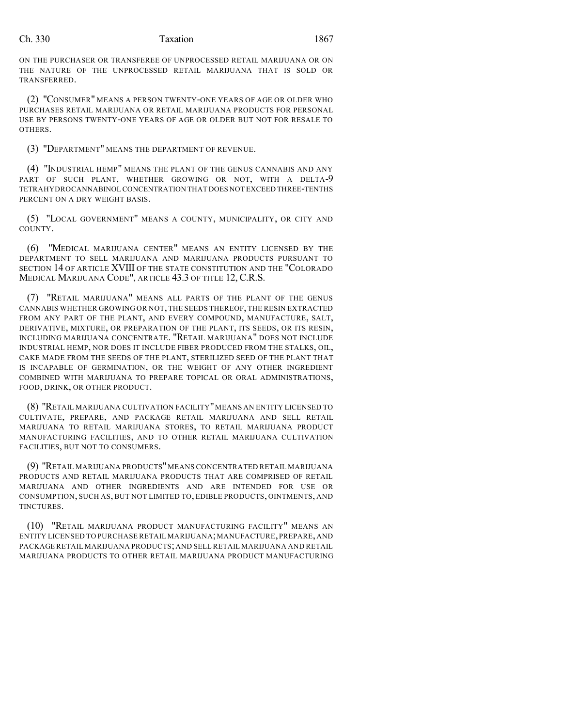ON THE PURCHASER OR TRANSFEREE OF UNPROCESSED RETAIL MARIJUANA OR ON THE NATURE OF THE UNPROCESSED RETAIL MARIJUANA THAT IS SOLD OR TRANSFERRED.

(2) "CONSUMER" MEANS A PERSON TWENTY-ONE YEARS OF AGE OR OLDER WHO PURCHASES RETAIL MARIJUANA OR RETAIL MARIJUANA PRODUCTS FOR PERSONAL USE BY PERSONS TWENTY-ONE YEARS OF AGE OR OLDER BUT NOT FOR RESALE TO **OTHERS** 

(3) "DEPARTMENT" MEANS THE DEPARTMENT OF REVENUE.

(4) "INDUSTRIAL HEMP" MEANS THE PLANT OF THE GENUS CANNABIS AND ANY PART OF SUCH PLANT, WHETHER GROWING OR NOT, WITH A DELTA-9 TETRAHYDROCANNABINOL CONCENTRATION THAT DOES NOT EXCEED THREE-TENTHS PERCENT ON A DRY WEIGHT BASIS.

(5) "LOCAL GOVERNMENT" MEANS A COUNTY, MUNICIPALITY, OR CITY AND COUNTY.

(6) "MEDICAL MARIJUANA CENTER" MEANS AN ENTITY LICENSED BY THE DEPARTMENT TO SELL MARIJUANA AND MARIJUANA PRODUCTS PURSUANT TO SECTION 14 OF ARTICLE XVIII OF THE STATE CONSTITUTION AND THE "COLORADO MEDICAL MARIJUANA CODE", ARTICLE 43.3 OF TITLE 12, C.R.S.

(7) "RETAIL MARIJUANA" MEANS ALL PARTS OF THE PLANT OF THE GENUS CANNABIS WHETHER GROWING OR NOT, THE SEEDS THEREOF, THE RESIN EXTRACTED FROM ANY PART OF THE PLANT, AND EVERY COMPOUND, MANUFACTURE, SALT, DERIVATIVE, MIXTURE, OR PREPARATION OF THE PLANT, ITS SEEDS, OR ITS RESIN, INCLUDING MARIJUANA CONCENTRATE. "RETAIL MARIJUANA" DOES NOT INCLUDE INDUSTRIAL HEMP, NOR DOES IT INCLUDE FIBER PRODUCED FROM THE STALKS, OIL, CAKE MADE FROM THE SEEDS OF THE PLANT, STERILIZED SEED OF THE PLANT THAT IS INCAPABLE OF GERMINATION, OR THE WEIGHT OF ANY OTHER INGREDIENT COMBINED WITH MARIJUANA TO PREPARE TOPICAL OR ORAL ADMINISTRATIONS, FOOD, DRINK, OR OTHER PRODUCT.

(8) "RETAIL MARIJUANA CULTIVATION FACILITY"MEANS AN ENTITY LICENSED TO CULTIVATE, PREPARE, AND PACKAGE RETAIL MARIJUANA AND SELL RETAIL MARIJUANA TO RETAIL MARIJUANA STORES, TO RETAIL MARIJUANA PRODUCT MANUFACTURING FACILITIES, AND TO OTHER RETAIL MARIJUANA CULTIVATION FACILITIES, BUT NOT TO CONSUMERS.

(9) "RETAIL MARIJUANA PRODUCTS"MEANS CONCENTRATED RETAIL MARIJUANA PRODUCTS AND RETAIL MARIJUANA PRODUCTS THAT ARE COMPRISED OF RETAIL MARIJUANA AND OTHER INGREDIENTS AND ARE INTENDED FOR USE OR CONSUMPTION, SUCH AS, BUT NOT LIMITED TO, EDIBLE PRODUCTS, OINTMENTS, AND TINCTURES.

(10) "RETAIL MARIJUANA PRODUCT MANUFACTURING FACILITY" MEANS AN ENTITY LICENSED TO PURCHASE RETAIL MARIJUANA;MANUFACTURE,PREPARE, AND PACKAGE RETAIL MARIJUANA PRODUCTS;AND SELL RETAIL MARIJUANA AND RETAIL MARIJUANA PRODUCTS TO OTHER RETAIL MARIJUANA PRODUCT MANUFACTURING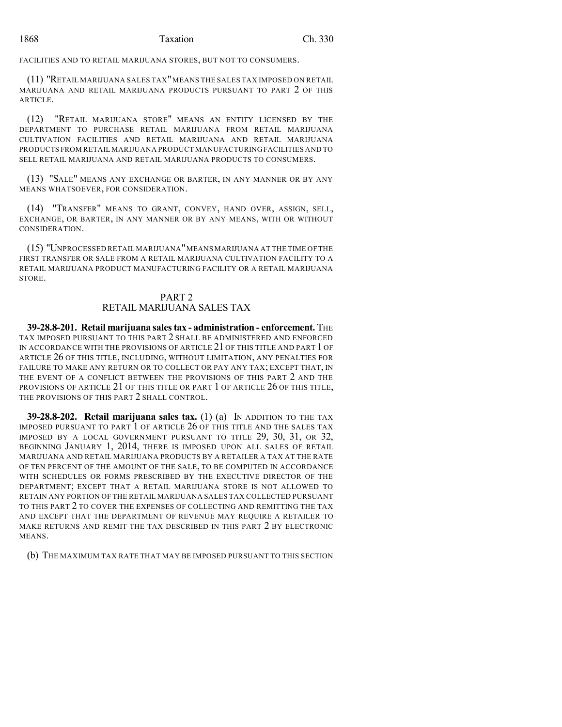# 1868 Taxation Ch. 330

FACILITIES AND TO RETAIL MARIJUANA STORES, BUT NOT TO CONSUMERS.

(11) "RETAIL MARIJUANA SALES TAX"MEANS THE SALES TAX IMPOSED ON RETAIL MARIJUANA AND RETAIL MARIJUANA PRODUCTS PURSUANT TO PART 2 OF THIS ARTICLE.

(12) "RETAIL MARIJUANA STORE" MEANS AN ENTITY LICENSED BY THE DEPARTMENT TO PURCHASE RETAIL MARIJUANA FROM RETAIL MARIJUANA CULTIVATION FACILITIES AND RETAIL MARIJUANA AND RETAIL MARIJUANA PRODUCTS FROM RETAIL MARIJUANA PRODUCT MANUFACTURING FACILITIES AND TO SELL RETAIL MARIJUANA AND RETAIL MARIJUANA PRODUCTS TO CONSUMERS.

(13) "SALE" MEANS ANY EXCHANGE OR BARTER, IN ANY MANNER OR BY ANY MEANS WHATSOEVER, FOR CONSIDERATION.

(14) "TRANSFER" MEANS TO GRANT, CONVEY, HAND OVER, ASSIGN, SELL, EXCHANGE, OR BARTER, IN ANY MANNER OR BY ANY MEANS, WITH OR WITHOUT CONSIDERATION.

(15) "UNPROCESSED RETAIL MARIJUANA"MEANS MARIJUANA AT THE TIME OF THE FIRST TRANSFER OR SALE FROM A RETAIL MARIJUANA CULTIVATION FACILITY TO A RETAIL MARIJUANA PRODUCT MANUFACTURING FACILITY OR A RETAIL MARIJUANA STORE.

# PART 2 RETAIL MARIJUANA SALES TAX

**39-28.8-201. Retail marijuana salestax - administration - enforcement.** THE TAX IMPOSED PURSUANT TO THIS PART 2 SHALL BE ADMINISTERED AND ENFORCED IN ACCORDANCE WITH THE PROVISIONS OF ARTICLE 21 OF THIS TITLE AND PART 1 OF ARTICLE 26 OF THIS TITLE, INCLUDING, WITHOUT LIMITATION, ANY PENALTIES FOR FAILURE TO MAKE ANY RETURN OR TO COLLECT OR PAY ANY TAX; EXCEPT THAT, IN THE EVENT OF A CONFLICT BETWEEN THE PROVISIONS OF THIS PART 2 AND THE PROVISIONS OF ARTICLE 21 OF THIS TITLE OR PART 1 OF ARTICLE 26 OF THIS TITLE, THE PROVISIONS OF THIS PART 2 SHALL CONTROL.

**39-28.8-202. Retail marijuana sales tax.** (1) (a) IN ADDITION TO THE TAX IMPOSED PURSUANT TO PART 1 OF ARTICLE 26 OF THIS TITLE AND THE SALES TAX IMPOSED BY A LOCAL GOVERNMENT PURSUANT TO TITLE 29, 30, 31, OR 32, BEGINNING JANUARY 1, 2014, THERE IS IMPOSED UPON ALL SALES OF RETAIL MARIJUANA AND RETAIL MARIJUANA PRODUCTS BY A RETAILER A TAX AT THE RATE OF TEN PERCENT OF THE AMOUNT OF THE SALE, TO BE COMPUTED IN ACCORDANCE WITH SCHEDULES OR FORMS PRESCRIBED BY THE EXECUTIVE DIRECTOR OF THE DEPARTMENT; EXCEPT THAT A RETAIL MARIJUANA STORE IS NOT ALLOWED TO RETAIN ANY PORTION OF THE RETAIL MARIJUANA SALES TAX COLLECTED PURSUANT TO THIS PART 2 TO COVER THE EXPENSES OF COLLECTING AND REMITTING THE TAX AND EXCEPT THAT THE DEPARTMENT OF REVENUE MAY REQUIRE A RETAILER TO MAKE RETURNS AND REMIT THE TAX DESCRIBED IN THIS PART 2 BY ELECTRONIC MEANS.

(b) THE MAXIMUM TAX RATE THAT MAY BE IMPOSED PURSUANT TO THIS SECTION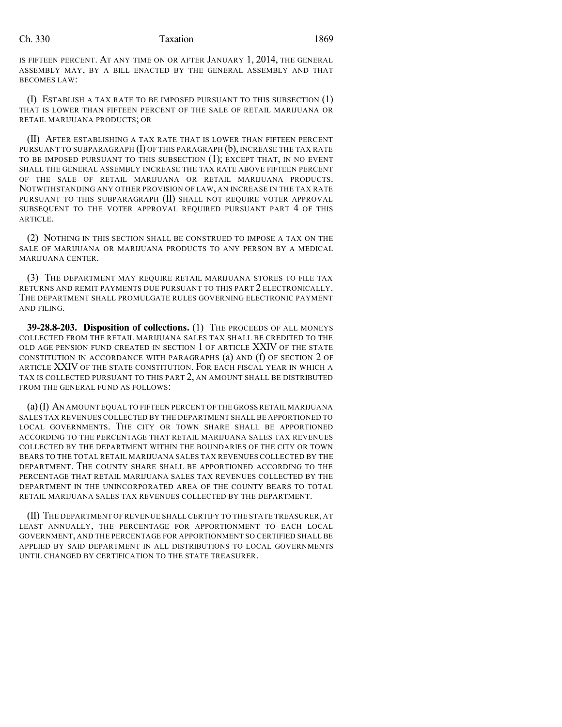IS FIFTEEN PERCENT. AT ANY TIME ON OR AFTER JANUARY 1, 2014, THE GENERAL ASSEMBLY MAY, BY A BILL ENACTED BY THE GENERAL ASSEMBLY AND THAT BECOMES LAW:

(I) ESTABLISH A TAX RATE TO BE IMPOSED PURSUANT TO THIS SUBSECTION (1) THAT IS LOWER THAN FIFTEEN PERCENT OF THE SALE OF RETAIL MARIJUANA OR RETAIL MARIJUANA PRODUCTS; OR

(II) AFTER ESTABLISHING A TAX RATE THAT IS LOWER THAN FIFTEEN PERCENT PURSUANT TO SUBPARAGRAPH  $(I)$  OF THIS PARAGRAPH  $(b)$ , INCREASE THE TAX RATE TO BE IMPOSED PURSUANT TO THIS SUBSECTION (1); EXCEPT THAT, IN NO EVENT SHALL THE GENERAL ASSEMBLY INCREASE THE TAX RATE ABOVE FIFTEEN PERCENT OF THE SALE OF RETAIL MARIJUANA OR RETAIL MARIJUANA PRODUCTS. NOTWITHSTANDING ANY OTHER PROVISION OF LAW, AN INCREASE IN THE TAX RATE PURSUANT TO THIS SUBPARAGRAPH (II) SHALL NOT REQUIRE VOTER APPROVAL SUBSEQUENT TO THE VOTER APPROVAL REQUIRED PURSUANT PART 4 OF THIS ARTICLE.

(2) NOTHING IN THIS SECTION SHALL BE CONSTRUED TO IMPOSE A TAX ON THE SALE OF MARIJUANA OR MARIJUANA PRODUCTS TO ANY PERSON BY A MEDICAL MARIJUANA CENTER.

(3) THE DEPARTMENT MAY REQUIRE RETAIL MARIJUANA STORES TO FILE TAX RETURNS AND REMIT PAYMENTS DUE PURSUANT TO THIS PART 2 ELECTRONICALLY. THE DEPARTMENT SHALL PROMULGATE RULES GOVERNING ELECTRONIC PAYMENT AND FILING.

**39-28.8-203. Disposition of collections.** (1) THE PROCEEDS OF ALL MONEYS COLLECTED FROM THE RETAIL MARIJUANA SALES TAX SHALL BE CREDITED TO THE OLD AGE PENSION FUND CREATED IN SECTION 1 OF ARTICLE XXIV OF THE STATE CONSTITUTION IN ACCORDANCE WITH PARAGRAPHS (a) AND (f) OF SECTION 2 OF ARTICLE XXIV OF THE STATE CONSTITUTION. FOR EACH FISCAL YEAR IN WHICH A TAX IS COLLECTED PURSUANT TO THIS PART 2, AN AMOUNT SHALL BE DISTRIBUTED FROM THE GENERAL FUND AS FOLLOWS:

(a)(I) AN AMOUNT EQUAL TO FIFTEEN PERCENT OF THE GROSS RETAIL MARIJUANA SALES TAX REVENUES COLLECTED BY THE DEPARTMENT SHALL BE APPORTIONED TO LOCAL GOVERNMENTS. THE CITY OR TOWN SHARE SHALL BE APPORTIONED ACCORDING TO THE PERCENTAGE THAT RETAIL MARIJUANA SALES TAX REVENUES COLLECTED BY THE DEPARTMENT WITHIN THE BOUNDARIES OF THE CITY OR TOWN BEARS TO THE TOTAL RETAIL MARIJUANA SALES TAX REVENUES COLLECTED BY THE DEPARTMENT. THE COUNTY SHARE SHALL BE APPORTIONED ACCORDING TO THE PERCENTAGE THAT RETAIL MARIJUANA SALES TAX REVENUES COLLECTED BY THE DEPARTMENT IN THE UNINCORPORATED AREA OF THE COUNTY BEARS TO TOTAL RETAIL MARIJUANA SALES TAX REVENUES COLLECTED BY THE DEPARTMENT.

(II) THE DEPARTMENT OF REVENUE SHALL CERTIFY TO THE STATE TREASURER, AT LEAST ANNUALLY, THE PERCENTAGE FOR APPORTIONMENT TO EACH LOCAL GOVERNMENT, AND THE PERCENTAGE FOR APPORTIONMENT SO CERTIFIED SHALL BE APPLIED BY SAID DEPARTMENT IN ALL DISTRIBUTIONS TO LOCAL GOVERNMENTS UNTIL CHANGED BY CERTIFICATION TO THE STATE TREASURER.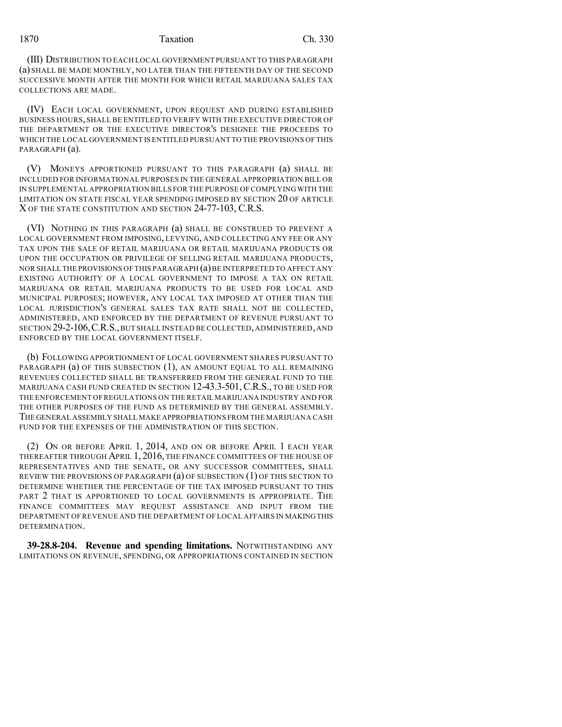(III) DISTRIBUTION TO EACH LOCAL GOVERNMENT PURSUANT TO THIS PARAGRAPH (a) SHALL BE MADE MONTHLY, NO LATER THAN THE FIFTEENTH DAY OF THE SECOND SUCCESSIVE MONTH AFTER THE MONTH FOR WHICH RETAIL MARIJUANA SALES TAX COLLECTIONS ARE MADE.

(IV) EACH LOCAL GOVERNMENT, UPON REQUEST AND DURING ESTABLISHED BUSINESS HOURS,SHALL BE ENTITLED TO VERIFY WITH THE EXECUTIVE DIRECTOR OF THE DEPARTMENT OR THE EXECUTIVE DIRECTOR'S DESIGNEE THE PROCEEDS TO WHICH THE LOCAL GOVERNMENT IS ENTITLED PURSUANT TO THE PROVISIONS OF THIS PARAGRAPH (a).

(V) MONEYS APPORTIONED PURSUANT TO THIS PARAGRAPH (a) SHALL BE INCLUDED FOR INFORMATIONAL PURPOSES IN THE GENERAL APPROPRIATION BILL OR IN SUPPLEMENTAL APPROPRIATION BILLS FOR THE PURPOSE OF COMPLYING WITH THE LIMITATION ON STATE FISCAL YEAR SPENDING IMPOSED BY SECTION 20 OF ARTICLE X OF THE STATE CONSTITUTION AND SECTION 24-77-103, C.R.S.

(VI) NOTHING IN THIS PARAGRAPH (a) SHALL BE CONSTRUED TO PREVENT A LOCAL GOVERNMENT FROM IMPOSING, LEVYING, AND COLLECTING ANY FEE OR ANY TAX UPON THE SALE OF RETAIL MARIJUANA OR RETAIL MARIJUANA PRODUCTS OR UPON THE OCCUPATION OR PRIVILEGE OF SELLING RETAIL MARIJUANA PRODUCTS, NOR SHALL THE PROVISIONS OF THIS PARAGRAPH (a) BE INTERPRETED TO AFFECT ANY EXISTING AUTHORITY OF A LOCAL GOVERNMENT TO IMPOSE A TAX ON RETAIL MARIJUANA OR RETAIL MARIJUANA PRODUCTS TO BE USED FOR LOCAL AND MUNICIPAL PURPOSES; HOWEVER, ANY LOCAL TAX IMPOSED AT OTHER THAN THE LOCAL JURISDICTION'S GENERAL SALES TAX RATE SHALL NOT BE COLLECTED, ADMINISTERED, AND ENFORCED BY THE DEPARTMENT OF REVENUE PURSUANT TO SECTION 29-2-106,C.R.S.,BUT SHALL INSTEAD BE COLLECTED,ADMINISTERED,AND ENFORCED BY THE LOCAL GOVERNMENT ITSELF.

(b) FOLLOWING APPORTIONMENT OF LOCAL GOVERNMENT SHARES PURSUANT TO PARAGRAPH (a) OF THIS SUBSECTION (1), AN AMOUNT EQUAL TO ALL REMAINING REVENUES COLLECTED SHALL BE TRANSFERRED FROM THE GENERAL FUND TO THE MARIJUANA CASH FUND CREATED IN SECTION 12-43.3-501, C.R.S., TO BE USED FOR THE ENFORCEMENT OF REGULATIONS ON THE RETAIL MARIJUANA INDUSTRY AND FOR THE OTHER PURPOSES OF THE FUND AS DETERMINED BY THE GENERAL ASSEMBLY. THE GENERAL ASSEMBLY SHALL MAKE APPROPRIATIONS FROM THE MARIJUANA CASH FUND FOR THE EXPENSES OF THE ADMINISTRATION OF THIS SECTION.

(2) ON OR BEFORE APRIL 1, 2014, AND ON OR BEFORE APRIL 1 EACH YEAR THEREAFTER THROUGH APRIL 1, 2016, THE FINANCE COMMITTEES OF THE HOUSE OF REPRESENTATIVES AND THE SENATE, OR ANY SUCCESSOR COMMITTEES, SHALL REVIEW THE PROVISIONS OF PARAGRAPH (a) OF SUBSECTION (1) OF THIS SECTION TO DETERMINE WHETHER THE PERCENTAGE OF THE TAX IMPOSED PURSUANT TO THIS PART 2 THAT IS APPORTIONED TO LOCAL GOVERNMENTS IS APPROPRIATE. THE FINANCE COMMITTEES MAY REQUEST ASSISTANCE AND INPUT FROM THE DEPARTMENT OF REVENUE AND THE DEPARTMENT OF LOCAL AFFAIRS IN MAKINGTHIS DETERMINATION.

**39-28.8-204. Revenue and spending limitations.** NOTWITHSTANDING ANY LIMITATIONS ON REVENUE, SPENDING, OR APPROPRIATIONS CONTAINED IN SECTION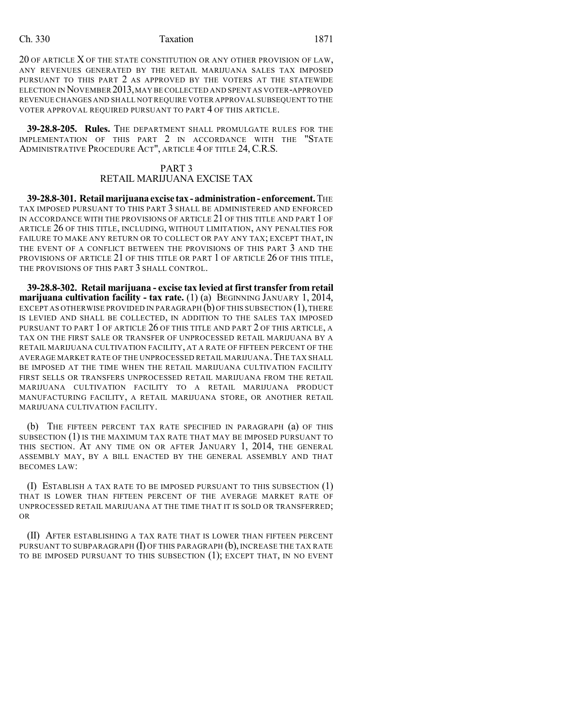20 OF ARTICLE X OF THE STATE CONSTITUTION OR ANY OTHER PROVISION OF LAW, ANY REVENUES GENERATED BY THE RETAIL MARIJUANA SALES TAX IMPOSED PURSUANT TO THIS PART 2 AS APPROVED BY THE VOTERS AT THE STATEWIDE ELECTION IN NOVEMBER 2013,MAY BE COLLECTED AND SPENT AS VOTER-APPROVED REVENUE CHANGES AND SHALL NOTREQUIRE VOTER APPROVAL SUBSEQUENT TO THE VOTER APPROVAL REQUIRED PURSUANT TO PART 4 OF THIS ARTICLE.

**39-28.8-205. Rules.** THE DEPARTMENT SHALL PROMULGATE RULES FOR THE IMPLEMENTATION OF THIS PART 2 IN ACCORDANCE WITH THE "STATE ADMINISTRATIVE PROCEDURE ACT", ARTICLE 4 OF TITLE 24, C.R.S.

#### PART 3 RETAIL MARIJUANA EXCISE TAX

**39-28.8-301. Retailmarijuanaexcise tax-administration- enforcement.**THE TAX IMPOSED PURSUANT TO THIS PART 3 SHALL BE ADMINISTERED AND ENFORCED IN ACCORDANCE WITH THE PROVISIONS OF ARTICLE 21 OF THIS TITLE AND PART 1 OF ARTICLE 26 OF THIS TITLE, INCLUDING, WITHOUT LIMITATION, ANY PENALTIES FOR FAILURE TO MAKE ANY RETURN OR TO COLLECT OR PAY ANY TAX; EXCEPT THAT, IN THE EVENT OF A CONFLICT BETWEEN THE PROVISIONS OF THIS PART 3 AND THE PROVISIONS OF ARTICLE 21 OF THIS TITLE OR PART 1 OF ARTICLE 26 OF THIS TITLE, THE PROVISIONS OF THIS PART 3 SHALL CONTROL.

**39-28.8-302. Retail marijuana - excise tax levied at first transfer from retail marijuana cultivation facility - tax rate.** (1) (a) BEGINNING JANUARY 1, 2014, EXCEPT AS OTHERWISE PROVIDED IN PARAGRAPH  $(b)$  OF THIS SUBSECTION  $(1)$ , THERE IS LEVIED AND SHALL BE COLLECTED, IN ADDITION TO THE SALES TAX IMPOSED PURSUANT TO PART 1 OF ARTICLE 26 OF THIS TITLE AND PART 2 OF THIS ARTICLE, A TAX ON THE FIRST SALE OR TRANSFER OF UNPROCESSED RETAIL MARIJUANA BY A RETAIL MARIJUANA CULTIVATION FACILITY, AT A RATE OF FIFTEEN PERCENT OF THE AVERAGE MARKET RATE OF THE UNPROCESSED RETAIL MARIJUANA.THE TAX SHALL BE IMPOSED AT THE TIME WHEN THE RETAIL MARIJUANA CULTIVATION FACILITY FIRST SELLS OR TRANSFERS UNPROCESSED RETAIL MARIJUANA FROM THE RETAIL MARIJUANA CULTIVATION FACILITY TO A RETAIL MARIJUANA PRODUCT MANUFACTURING FACILITY, A RETAIL MARIJUANA STORE, OR ANOTHER RETAIL MARIJUANA CULTIVATION FACILITY.

(b) THE FIFTEEN PERCENT TAX RATE SPECIFIED IN PARAGRAPH (a) OF THIS SUBSECTION (1) IS THE MAXIMUM TAX RATE THAT MAY BE IMPOSED PURSUANT TO THIS SECTION. AT ANY TIME ON OR AFTER JANUARY 1, 2014, THE GENERAL ASSEMBLY MAY, BY A BILL ENACTED BY THE GENERAL ASSEMBLY AND THAT BECOMES LAW:

(I) ESTABLISH A TAX RATE TO BE IMPOSED PURSUANT TO THIS SUBSECTION (1) THAT IS LOWER THAN FIFTEEN PERCENT OF THE AVERAGE MARKET RATE OF UNPROCESSED RETAIL MARIJUANA AT THE TIME THAT IT IS SOLD OR TRANSFERRED; OR

(II) AFTER ESTABLISHING A TAX RATE THAT IS LOWER THAN FIFTEEN PERCENT PURSUANT TO SUBPARAGRAPH  $(I)$  OF THIS PARAGRAPH  $(b)$ , INCREASE THE TAX RATE TO BE IMPOSED PURSUANT TO THIS SUBSECTION (1); EXCEPT THAT, IN NO EVENT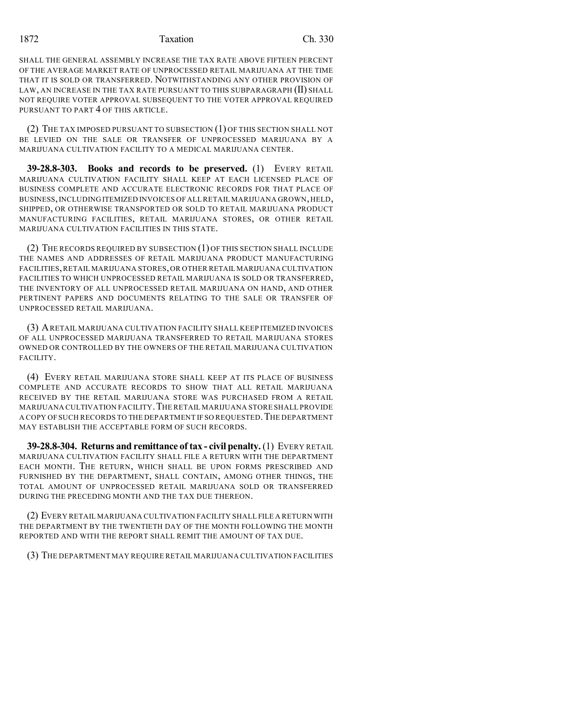SHALL THE GENERAL ASSEMBLY INCREASE THE TAX RATE ABOVE FIFTEEN PERCENT OF THE AVERAGE MARKET RATE OF UNPROCESSED RETAIL MARIJUANA AT THE TIME THAT IT IS SOLD OR TRANSFERRED. NOTWITHSTANDING ANY OTHER PROVISION OF LAW, AN INCREASE IN THE TAX RATE PURSUANT TO THIS SUBPARAGRAPH (II) SHALL NOT REQUIRE VOTER APPROVAL SUBSEQUENT TO THE VOTER APPROVAL REQUIRED PURSUANT TO PART 4 OF THIS ARTICLE.

(2) THE TAX IMPOSED PURSUANT TO SUBSECTION (1) OF THIS SECTION SHALL NOT BE LEVIED ON THE SALE OR TRANSFER OF UNPROCESSED MARIJUANA BY A MARIJUANA CULTIVATION FACILITY TO A MEDICAL MARIJUANA CENTER.

**39-28.8-303. Books and records to be preserved.** (1) EVERY RETAIL MARIJUANA CULTIVATION FACILITY SHALL KEEP AT EACH LICENSED PLACE OF BUSINESS COMPLETE AND ACCURATE ELECTRONIC RECORDS FOR THAT PLACE OF BUSINESS,INCLUDING ITEMIZED INVOICES OF ALLRETAIL MARIJUANA GROWN,HELD, SHIPPED, OR OTHERWISE TRANSPORTED OR SOLD TO RETAIL MARIJUANA PRODUCT MANUFACTURING FACILITIES, RETAIL MARIJUANA STORES, OR OTHER RETAIL MARIJUANA CULTIVATION FACILITIES IN THIS STATE.

(2) THE RECORDS REQUIRED BY SUBSECTION (1) OF THIS SECTION SHALL INCLUDE THE NAMES AND ADDRESSES OF RETAIL MARIJUANA PRODUCT MANUFACTURING FACILITIES,RETAIL MARIJUANA STORES,OR OTHER RETAIL MARIJUANA CULTIVATION FACILITIES TO WHICH UNPROCESSED RETAIL MARIJUANA IS SOLD OR TRANSFERRED, THE INVENTORY OF ALL UNPROCESSED RETAIL MARIJUANA ON HAND, AND OTHER PERTINENT PAPERS AND DOCUMENTS RELATING TO THE SALE OR TRANSFER OF UNPROCESSED RETAIL MARIJUANA.

(3) ARETAIL MARIJUANA CULTIVATION FACILITY SHALL KEEP ITEMIZED INVOICES OF ALL UNPROCESSED MARIJUANA TRANSFERRED TO RETAIL MARIJUANA STORES OWNED OR CONTROLLED BY THE OWNERS OF THE RETAIL MARIJUANA CULTIVATION FACILITY.

(4) EVERY RETAIL MARIJUANA STORE SHALL KEEP AT ITS PLACE OF BUSINESS COMPLETE AND ACCURATE RECORDS TO SHOW THAT ALL RETAIL MARIJUANA RECEIVED BY THE RETAIL MARIJUANA STORE WAS PURCHASED FROM A RETAIL MARIJUANA CULTIVATION FACILITY.THE RETAIL MARIJUANA STORE SHALL PROVIDE A COPY OF SUCH RECORDS TO THE DEPARTMENT IF SO REQUESTED.THE DEPARTMENT MAY ESTABLISH THE ACCEPTABLE FORM OF SUCH RECORDS.

**39-28.8-304. Returns and remittance of tax - civil penalty.** (1) EVERY RETAIL MARIJUANA CULTIVATION FACILITY SHALL FILE A RETURN WITH THE DEPARTMENT EACH MONTH. THE RETURN, WHICH SHALL BE UPON FORMS PRESCRIBED AND FURNISHED BY THE DEPARTMENT, SHALL CONTAIN, AMONG OTHER THINGS, THE TOTAL AMOUNT OF UNPROCESSED RETAIL MARIJUANA SOLD OR TRANSFERRED DURING THE PRECEDING MONTH AND THE TAX DUE THEREON.

(2) EVERY RETAIL MARIJUANA CULTIVATION FACILITY SHALL FILE A RETURN WITH THE DEPARTMENT BY THE TWENTIETH DAY OF THE MONTH FOLLOWING THE MONTH REPORTED AND WITH THE REPORT SHALL REMIT THE AMOUNT OF TAX DUE.

(3) THE DEPARTMENT MAY REQUIRE RETAIL MARIJUANA CULTIVATION FACILITIES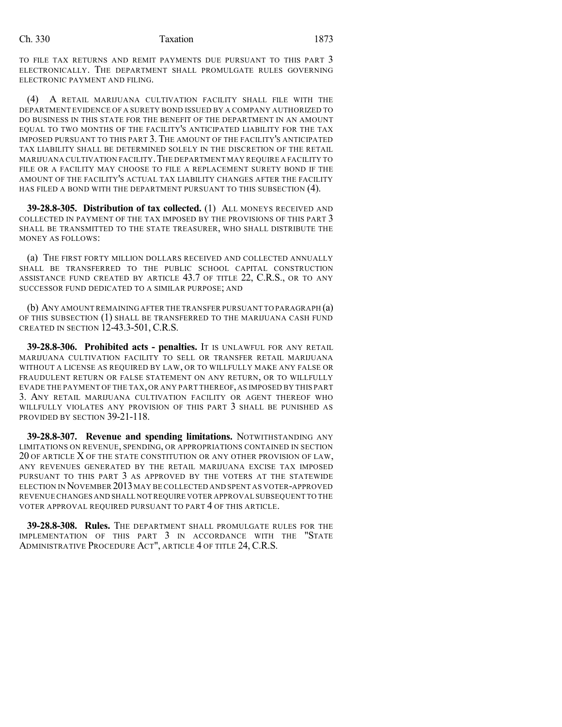TO FILE TAX RETURNS AND REMIT PAYMENTS DUE PURSUANT TO THIS PART 3 ELECTRONICALLY. THE DEPARTMENT SHALL PROMULGATE RULES GOVERNING ELECTRONIC PAYMENT AND FILING.

(4) A RETAIL MARIJUANA CULTIVATION FACILITY SHALL FILE WITH THE DEPARTMENT EVIDENCE OF A SURETY BOND ISSUED BY A COMPANY AUTHORIZED TO DO BUSINESS IN THIS STATE FOR THE BENEFIT OF THE DEPARTMENT IN AN AMOUNT EQUAL TO TWO MONTHS OF THE FACILITY'S ANTICIPATED LIABILITY FOR THE TAX IMPOSED PURSUANT TO THIS PART 3. THE AMOUNT OF THE FACILITY'S ANTICIPATED TAX LIABILITY SHALL BE DETERMINED SOLELY IN THE DISCRETION OF THE RETAIL MARIJUANA CULTIVATION FACILITY.THE DEPARTMENT MAY REQUIRE A FACILITY TO FILE OR A FACILITY MAY CHOOSE TO FILE A REPLACEMENT SURETY BOND IF THE AMOUNT OF THE FACILITY'S ACTUAL TAX LIABILITY CHANGES AFTER THE FACILITY HAS FILED A BOND WITH THE DEPARTMENT PURSUANT TO THIS SUBSECTION (4).

**39-28.8-305. Distribution of tax collected.** (1) ALL MONEYS RECEIVED AND COLLECTED IN PAYMENT OF THE TAX IMPOSED BY THE PROVISIONS OF THIS PART 3 SHALL BE TRANSMITTED TO THE STATE TREASURER, WHO SHALL DISTRIBUTE THE MONEY AS FOLLOWS:

(a) THE FIRST FORTY MILLION DOLLARS RECEIVED AND COLLECTED ANNUALLY SHALL BE TRANSFERRED TO THE PUBLIC SCHOOL CAPITAL CONSTRUCTION ASSISTANCE FUND CREATED BY ARTICLE 43.7 OF TITLE 22, C.R.S., OR TO ANY SUCCESSOR FUND DEDICATED TO A SIMILAR PURPOSE; AND

(b) ANY AMOUNT REMAINING AFTER THE TRANSFER PURSUANT TO PARAGRAPH (a) OF THIS SUBSECTION (1) SHALL BE TRANSFERRED TO THE MARIJUANA CASH FUND CREATED IN SECTION  $12-43.3-501$ , C.R.S.

**39-28.8-306. Prohibited acts - penalties.** IT IS UNLAWFUL FOR ANY RETAIL MARIJUANA CULTIVATION FACILITY TO SELL OR TRANSFER RETAIL MARIJUANA WITHOUT A LICENSE AS REQUIRED BY LAW, OR TO WILLFULLY MAKE ANY FALSE OR FRAUDULENT RETURN OR FALSE STATEMENT ON ANY RETURN, OR TO WILLFULLY EVADE THE PAYMENT OF THE TAX, OR ANY PART THEREOF, AS IMPOSED BY THIS PART 3. ANY RETAIL MARIJUANA CULTIVATION FACILITY OR AGENT THEREOF WHO WILLFULLY VIOLATES ANY PROVISION OF THIS PART 3 SHALL BE PUNISHED AS PROVIDED BY SECTION 39-21-118.

**39-28.8-307. Revenue and spending limitations.** NOTWITHSTANDING ANY LIMITATIONS ON REVENUE, SPENDING, OR APPROPRIATIONS CONTAINED IN SECTION 20 OF ARTICLE X OF THE STATE CONSTITUTION OR ANY OTHER PROVISION OF LAW, ANY REVENUES GENERATED BY THE RETAIL MARIJUANA EXCISE TAX IMPOSED PURSUANT TO THIS PART 3 AS APPROVED BY THE VOTERS AT THE STATEWIDE ELECTION IN NOVEMBER 2013MAY BE COLLECTED AND SPENT AS VOTER-APPROVED REVENUE CHANGES AND SHALL NOT REQUIRE VOTER APPROVAL SUBSEQUENT TO THE VOTER APPROVAL REQUIRED PURSUANT TO PART 4 OF THIS ARTICLE.

**39-28.8-308. Rules.** THE DEPARTMENT SHALL PROMULGATE RULES FOR THE IMPLEMENTATION OF THIS PART 3 IN ACCORDANCE WITH THE "STATE ADMINISTRATIVE PROCEDURE ACT", ARTICLE 4 OF TITLE 24, C.R.S.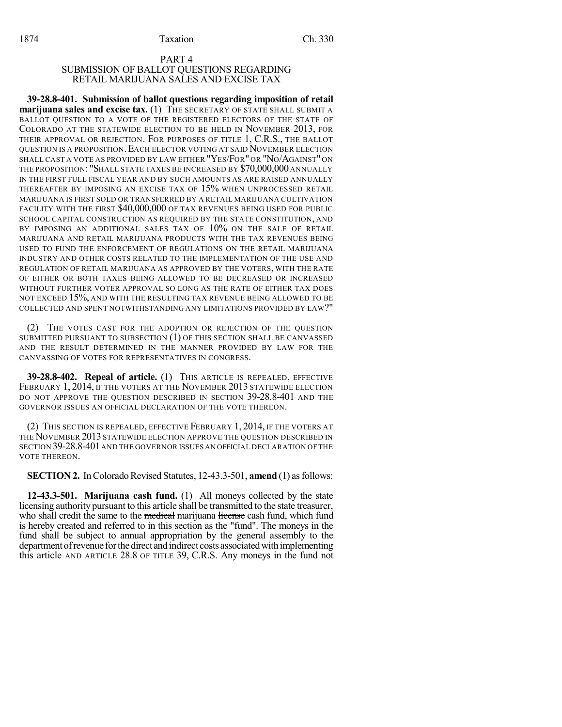#### PART 4 SUBMISSION OF BALLOT QUESTIONS REGARDING RETAIL MARIJUANA SALES AND EXCISE TAX

**39-28.8-401. Submission of ballot questions regarding imposition of retail marijuana sales and excise tax.** (1) THE SECRETARY OF STATE SHALL SUBMIT A BALLOT QUESTION TO A VOTE OF THE REGISTERED ELECTORS OF THE STATE OF COLORADO AT THE STATEWIDE ELECTION TO BE HELD IN NOVEMBER 2013, FOR THEIR APPROVAL OR REJECTION. FOR PURPOSES OF TITLE 1, C.R.S., THE BALLOT QUESTION IS A PROPOSITION.EACH ELECTOR VOTING AT SAID NOVEMBER ELECTION SHALL CAST A VOTE AS PROVIDED BY LAW EITHER "YES/FOR" OR "NO/AGAINST" ON THE PROPOSITION: "SHALL STATE TAXES BE INCREASED BY \$70,000,000 ANNUALLY IN THE FIRST FULL FISCAL YEAR AND BY SUCH AMOUNTS AS ARE RAISED ANNUALLY THEREAFTER BY IMPOSING AN EXCISE TAX OF 15% WHEN UNPROCESSED RETAIL MARIJUANA IS FIRST SOLD OR TRANSFERRED BY A RETAIL MARIJUANA CULTIVATION FACILITY WITH THE FIRST \$40,000,000 OF TAX REVENUES BEING USED FOR PUBLIC SCHOOL CAPITAL CONSTRUCTION AS REQUIRED BY THE STATE CONSTITUTION, AND BY IMPOSING AN ADDITIONAL SALES TAX OF 10% ON THE SALE OF RETAIL MARIJUANA AND RETAIL MARIJUANA PRODUCTS WITH THE TAX REVENUES BEING USED TO FUND THE ENFORCEMENT OF REGULATIONS ON THE RETAIL MARIJUANA INDUSTRY AND OTHER COSTS RELATED TO THE IMPLEMENTATION OF THE USE AND REGULATION OF RETAIL MARIJUANA AS APPROVED BY THE VOTERS, WITH THE RATE OF EITHER OR BOTH TAXES BEING ALLOWED TO BE DECREASED OR INCREASED WITHOUT FURTHER VOTER APPROVAL SO LONG AS THE RATE OF EITHER TAX DOES NOT EXCEED 15%, AND WITH THE RESULTING TAX REVENUE BEING ALLOWED TO BE COLLECTED AND SPENT NOTWITHSTANDING ANY LIMITATIONS PROVIDED BY LAW?"

(2) THE VOTES CAST FOR THE ADOPTION OR REJECTION OF THE QUESTION SUBMITTED PURSUANT TO SUBSECTION (1) OF THIS SECTION SHALL BE CANVASSED AND THE RESULT DETERMINED IN THE MANNER PROVIDED BY LAW FOR THE CANVASSING OF VOTES FOR REPRESENTATIVES IN CONGRESS.

**39-28.8-402. Repeal of article.** (1) THIS ARTICLE IS REPEALED, EFFECTIVE FEBRUARY 1, 2014, IF THE VOTERS AT THE NOVEMBER 2013 STATEWIDE ELECTION DO NOT APPROVE THE QUESTION DESCRIBED IN SECTION 39-28.8-401 AND THE GOVERNOR ISSUES AN OFFICIAL DECLARATION OF THE VOTE THEREON.

(2) THIS SECTION IS REPEALED, EFFECTIVE FEBRUARY 1, 2014, IF THE VOTERS AT THE NOVEMBER 2013 STATEWIDE ELECTION APPROVE THE QUESTION DESCRIBED IN SECTION 39-28.8-401AND THE GOVERNOR ISSUES AN OFFICIAL DECLARATION OF THE VOTE THEREON.

**SECTION 2.** In Colorado Revised Statutes, 12-43.3-501, **amend** (1) as follows:

**12-43.3-501. Marijuana cash fund.** (1) All moneys collected by the state licensing authority pursuant to this article shall be transmitted to the state treasurer, who shall credit the same to the medical marijuana license cash fund, which fund is hereby created and referred to in this section as the "fund". The moneys in the fund shall be subject to annual appropriation by the general assembly to the department of revenue for the direct and indirect costs associated with implementing this article AND ARTICLE 28.8 OF TITLE 39, C.R.S. Any moneys in the fund not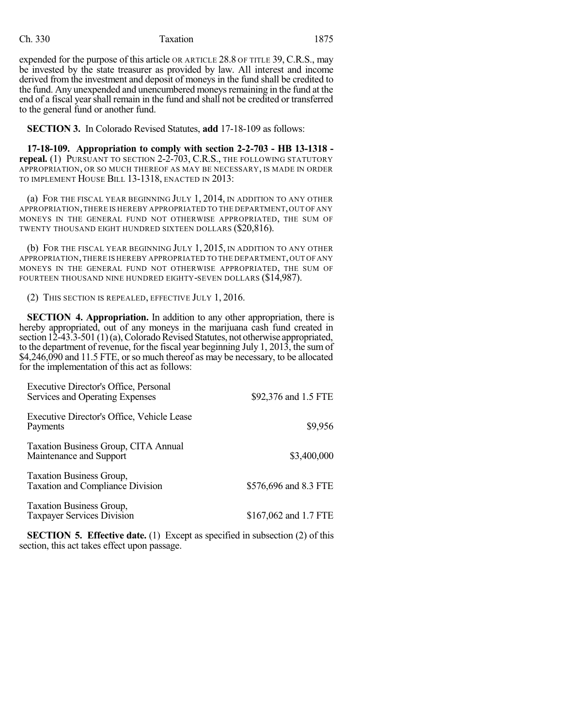expended for the purpose of this article OR ARTICLE 28.8 OF TITLE 39, C.R.S., may be invested by the state treasurer as provided by law. All interest and income derived from the investment and deposit of moneys in the fund shall be credited to the fund. Any unexpended and unencumbered moneys remaining in the fund at the end of a fiscal yearshall remain in the fund and shall not be credited or transferred to the general fund or another fund.

**SECTION 3.** In Colorado Revised Statutes, **add** 17-18-109 as follows:

**17-18-109. Appropriation to comply with section 2-2-703 - HB 13-1318 repeal.** (1) PURSUANT TO SECTION 2-2-703, C.R.S., THE FOLLOWING STATUTORY APPROPRIATION, OR SO MUCH THEREOF AS MAY BE NECESSARY, IS MADE IN ORDER TO IMPLEMENT HOUSE BILL 13-1318, ENACTED IN 2013:

(a) FOR THE FISCAL YEAR BEGINNING JULY 1, 2014, IN ADDITION TO ANY OTHER APPROPRIATION,THERE IS HEREBY APPROPRIATED TO THE DEPARTMENT,OUT OF ANY MONEYS IN THE GENERAL FUND NOT OTHERWISE APPROPRIATED, THE SUM OF TWENTY THOUSAND EIGHT HUNDRED SIXTEEN DOLLARS (\$20,816).

(b) FOR THE FISCAL YEAR BEGINNING JULY 1, 2015, IN ADDITION TO ANY OTHER APPROPRIATION,THERE IS HEREBY APPROPRIATED TO THE DEPARTMENT,OUT OFANY MONEYS IN THE GENERAL FUND NOT OTHERWISE APPROPRIATED, THE SUM OF FOURTEEN THOUSAND NINE HUNDRED EIGHTY-SEVEN DOLLARS (\$14,987).

(2) THIS SECTION IS REPEALED, EFFECTIVE JULY 1, 2016.

**SECTION 4. Appropriation.** In addition to any other appropriation, there is hereby appropriated, out of any moneys in the marijuana cash fund created in section  $12-43.3-501(1)(a)$ , Colorado Revised Statutes, not otherwise appropriated, to the department of revenue, for the fiscal year beginning July 1, 2013, the sum of \$4,246,090 and 11.5 FTE, or so much thereof as may be necessary, to be allocated for the implementation of this act as follows:

| Executive Director's Office, Personal<br>Services and Operating Expenses | \$92,376 and 1.5 FTE  |
|--------------------------------------------------------------------------|-----------------------|
| Executive Director's Office, Vehicle Lease<br>Payments                   | \$9,956               |
| Taxation Business Group, CITA Annual<br>Maintenance and Support          | \$3,400,000           |
| Taxation Business Group,<br><b>Taxation and Compliance Division</b>      | \$576,696 and 8.3 FTE |
| Taxation Business Group,<br>Taxpayer Services Division                   | \$167,062 and 1.7 FTE |

**SECTION 5. Effective date.** (1) Except as specified in subsection (2) of this section, this act takes effect upon passage.